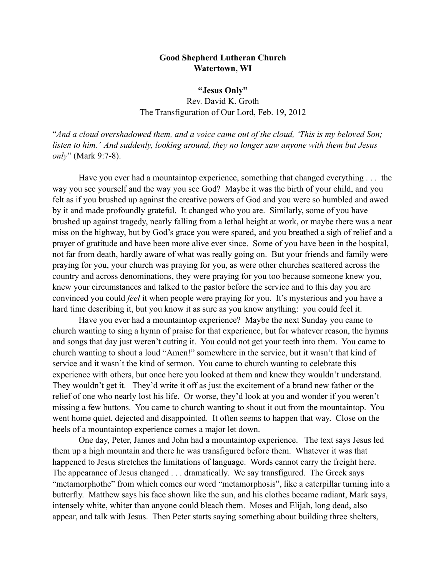## **Good Shepherd Lutheran Church Watertown, WI**

## **"Jesus Only"**

Rev. David K. Groth The Transfiguration of Our Lord, Feb. 19, 2012

"*And a cloud overshadowed them, and a voice came out of the cloud, 'This is my beloved Son; listen to him.' And suddenly, looking around, they no longer saw anyone with them but Jesus only*" (Mark 9:7-8).

Have you ever had a mountaintop experience, something that changed everything . . . the way you see yourself and the way you see God? Maybe it was the birth of your child, and you felt as if you brushed up against the creative powers of God and you were so humbled and awed by it and made profoundly grateful. It changed who you are. Similarly, some of you have brushed up against tragedy, nearly falling from a lethal height at work, or maybe there was a near miss on the highway, but by God's grace you were spared, and you breathed a sigh of relief and a prayer of gratitude and have been more alive ever since. Some of you have been in the hospital, not far from death, hardly aware of what was really going on. But your friends and family were praying for you, your church was praying for you, as were other churches scattered across the country and across denominations, they were praying for you too because someone knew you, knew your circumstances and talked to the pastor before the service and to this day you are convinced you could *feel* it when people were praying for you. It's mysterious and you have a hard time describing it, but you know it as sure as you know anything: you could feel it.

Have you ever had a mountaintop experience? Maybe the next Sunday you came to church wanting to sing a hymn of praise for that experience, but for whatever reason, the hymns and songs that day just weren't cutting it. You could not get your teeth into them. You came to church wanting to shout a loud "Amen!" somewhere in the service, but it wasn't that kind of service and it wasn't the kind of sermon. You came to church wanting to celebrate this experience with others, but once here you looked at them and knew they wouldn't understand. They wouldn't get it. They'd write it off as just the excitement of a brand new father or the relief of one who nearly lost his life. Or worse, they'd look at you and wonder if you weren't missing a few buttons. You came to church wanting to shout it out from the mountaintop. You went home quiet, dejected and disappointed. It often seems to happen that way. Close on the heels of a mountaintop experience comes a major let down.

One day, Peter, James and John had a mountaintop experience. The text says Jesus led them up a high mountain and there he was transfigured before them. Whatever it was that happened to Jesus stretches the limitations of language. Words cannot carry the freight here. The appearance of Jesus changed . . . dramatically. We say transfigured. The Greek says "metamorphothe" from which comes our word "metamorphosis", like a caterpillar turning into a butterfly. Matthew says his face shown like the sun, and his clothes became radiant, Mark says, intensely white, whiter than anyone could bleach them. Moses and Elijah, long dead, also appear, and talk with Jesus. Then Peter starts saying something about building three shelters,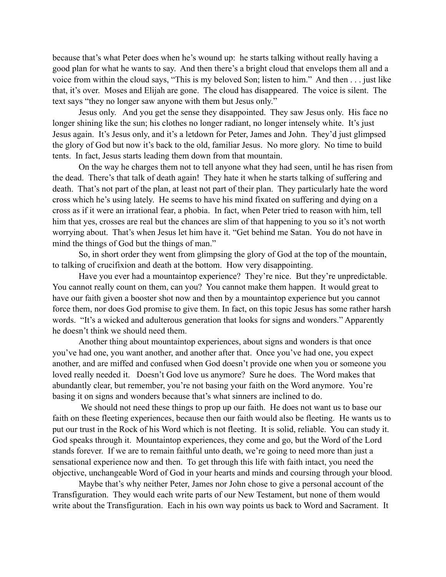because that's what Peter does when he's wound up: he starts talking without really having a good plan for what he wants to say. And then there's a bright cloud that envelops them all and a voice from within the cloud says, "This is my beloved Son; listen to him." And then . . . just like that, it's over. Moses and Elijah are gone. The cloud has disappeared. The voice is silent. The text says "they no longer saw anyone with them but Jesus only."

Jesus only. And you get the sense they disappointed. They saw Jesus only. His face no longer shining like the sun; his clothes no longer radiant, no longer intensely white. It's just Jesus again. It's Jesus only, and it's a letdown for Peter, James and John. They'd just glimpsed the glory of God but now it's back to the old, familiar Jesus. No more glory. No time to build tents. In fact, Jesus starts leading them down from that mountain.

On the way he charges them not to tell anyone what they had seen, until he has risen from the dead. There's that talk of death again! They hate it when he starts talking of suffering and death. That's not part of the plan, at least not part of their plan. They particularly hate the word cross which he's using lately. He seems to have his mind fixated on suffering and dying on a cross as if it were an irrational fear, a phobia. In fact, when Peter tried to reason with him, tell him that yes, crosses are real but the chances are slim of that happening to you so it's not worth worrying about. That's when Jesus let him have it. "Get behind me Satan. You do not have in mind the things of God but the things of man."

So, in short order they went from glimpsing the glory of God at the top of the mountain, to talking of crucifixion and death at the bottom. How very disappointing.

Have you ever had a mountaintop experience? They're nice. But they're unpredictable. You cannot really count on them, can you? You cannot make them happen. It would great to have our faith given a booster shot now and then by a mountaintop experience but you cannot force them, nor does God promise to give them. In fact, on this topic Jesus has some rather harsh words. "It's a wicked and adulterous generation that looks for signs and wonders." Apparently he doesn't think we should need them.

Another thing about mountaintop experiences, about signs and wonders is that once you've had one, you want another, and another after that. Once you've had one, you expect another, and are miffed and confused when God doesn't provide one when you or someone you loved really needed it. Doesn't God love us anymore? Sure he does. The Word makes that abundantly clear, but remember, you're not basing your faith on the Word anymore. You're basing it on signs and wonders because that's what sinners are inclined to do.

 We should not need these things to prop up our faith. He does not want us to base our faith on these fleeting experiences, because then our faith would also be fleeting. He wants us to put our trust in the Rock of his Word which is not fleeting. It is solid, reliable. You can study it. God speaks through it. Mountaintop experiences, they come and go, but the Word of the Lord stands forever. If we are to remain faithful unto death, we're going to need more than just a sensational experience now and then. To get through this life with faith intact, you need the objective, unchangeable Word of God in your hearts and minds and coursing through your blood.

Maybe that's why neither Peter, James nor John chose to give a personal account of the Transfiguration. They would each write parts of our New Testament, but none of them would write about the Transfiguration. Each in his own way points us back to Word and Sacrament. It